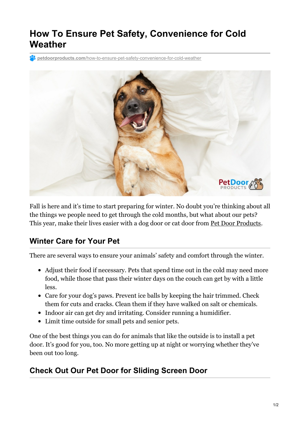# **How To Ensure Pet Safety, Convenience for Cold Weather**

**petdoorproducts.com**[/how-to-ensure-pet-safety-convenience-for-cold-weather](https://petdoorproducts.com/how-to-ensure-pet-safety-convenience-for-cold-weather/)



Fall is here and it's time to start preparing for winter. No doubt you're thinking about all the things we people need to get through the cold months, but what about our pets? This year, make their lives easier with a dog door or cat door from Pet Door [Products](https://petdoorproducts.com/why-choose-us/).

# **Winter Care for Your Pet**

There are several ways to ensure your animals' safety and comfort through the winter.

- Adjust their food if necessary. Pets that spend time out in the cold may need more food, while those that pass their winter days on the couch can get by with a little less.
- Care for your dog's paws. Prevent ice balls by keeping the hair trimmed. Check them for cuts and cracks. Clean them if they have walked on salt or chemicals.
- Indoor air can get dry and irritating. Consider running a humidifier.
- Limit time outside for small pets and senior pets.

One of the best things you can do for animals that like the outside is to install a pet door. It's good for you, too. No more getting up at night or worrying whether they've been out too long.

# **Check Out Our Pet Door for Sliding Screen Door**